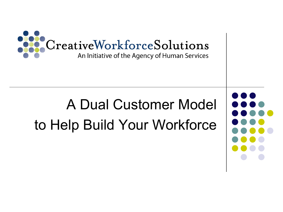

## A Dual Customer Model to Help Build Your Workforce

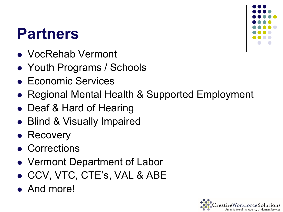### **Partners**

- VocRehab Vermont
- Youth Programs / Schools
- Economic Services
- Regional Mental Health & Supported Employment
- Deaf & Hard of Hearing
- Blind & Visually Impaired
- Recovery
- Corrections
- Vermont Department of Labor
- CCV, VTC, CTE's, VAL & ABE
- And more!



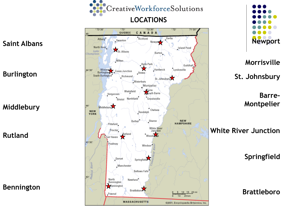



**MASSACHUSETTS** 

@2001, Encyclopædia Britannica, Inc.



**Morrisville**

**St. Johnsbury**

**Barre-Montpelier**

**White River Junction** 

**Springfield**

**Brattleboro**

#### **Saint Albans**

#### **Burlington**

**Middlebury**

**Rutland**

#### **Bennington**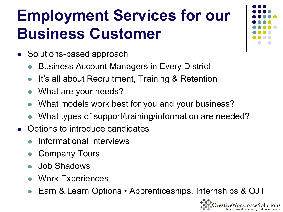## **Employment Services for our Business Customer**

- Solutions-based approach
	- Business Account Managers in Every District
	- It's all about Recruitment, Training & Retention
	- What are your needs?
	- What models work best for you and your business?
	- What types of support/training/information are needed?
- Options to introduce candidates
	- Informational Interviews
	- Company Tours
	- Job Shadows
	- Work Experiences
	- Earn & Learn Options Apprenticeships, Internships & OJT



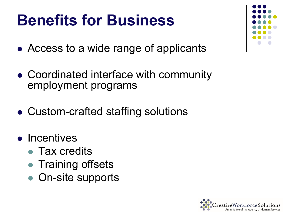### **Benefits for Business**

- Access to a wide range of applicants
- Coordinated interface with community employment programs
- Custom-crafted staffing solutions
- Incentives
	- Tax credits
	- Training offsets
	- On-site supports



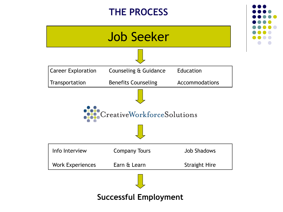#### **THE PROCESS**



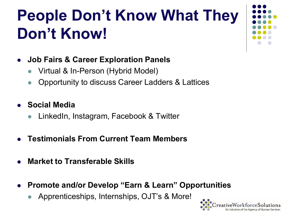## **People Don't Know What They Don't Know!**



- **Job Fairs & Career Exploration Panels**
	- Virtual & In-Person (Hybrid Model)
	- Opportunity to discuss Career Ladders & Lattices
- **Social Media**
	- LinkedIn, Instagram, Facebook & Twitter
- **Testimonials From Current Team Members**
- **Market to Transferable Skills**
- **Promote and/or Develop "Earn & Learn" Opportunities**
	- Apprenticeships, Internships, OJT's & More!